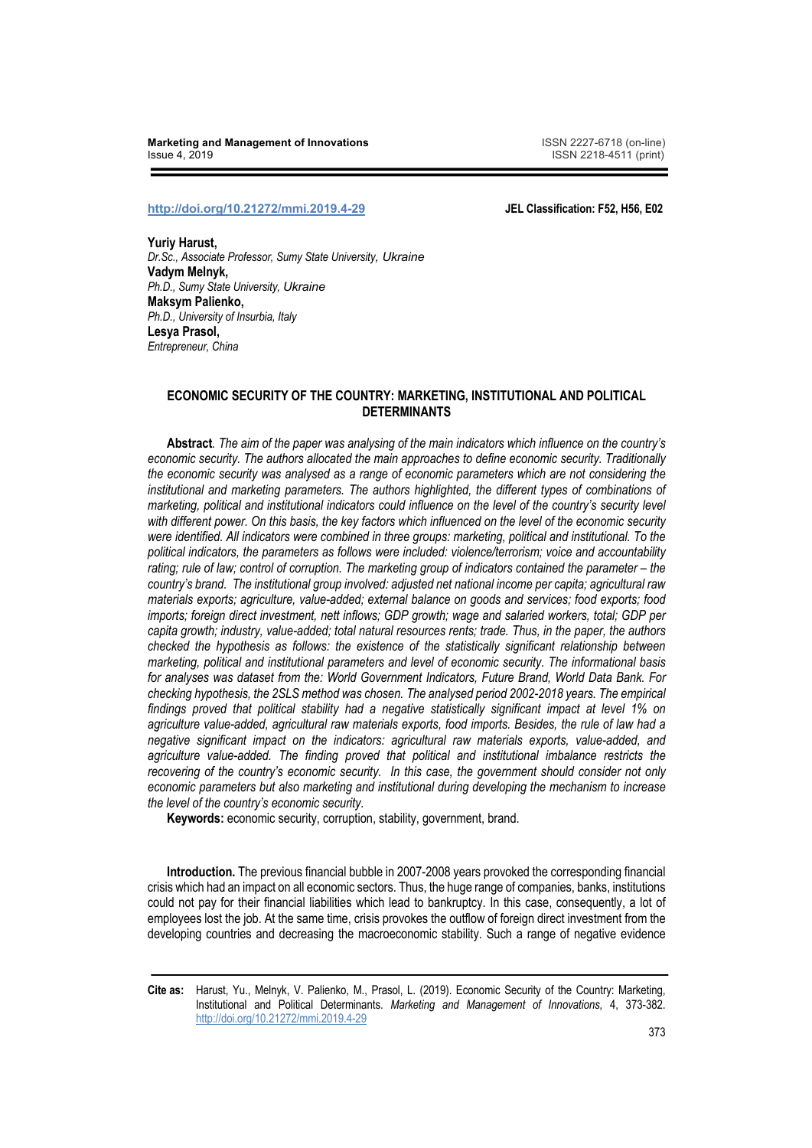**Marketing and Management of Innovations** ISSN 2227-6718 (on-line) **Issue 4, 2019 ISSN 2218-4511 (print)** 

## **http://doi.org/10.21272/mmi.2019.4-29 JEL Classification: F52, H56, E02**

**Yuriy Harust,** *Dr.Sc., Associate Professor, Sumy State University, Ukraine*  **Vadym Melnyk,** *Ph.D., Sumy State University, Ukraine* **Maksym Palienko,** *Ph.D., University of Insurbia, Italy* **Lesya Prasol,** *Entrepreneur, China*

## **ECONOMIC SECURITY OF THE COUNTRY: MARKETING, INSTITUTIONAL AND POLITICAL DETERMINANTS**

**Abstract***. The aim of the paper was analysing of the main indicators which influence on the country's economic security. The authors allocated the main approaches to define economic security. Traditionally the economic security was analysed as a range of economic parameters which are not considering the institutional and marketing parameters. The authors highlighted, the different types of combinations of marketing, political and institutional indicators could influence on the level of the country's security level with different power. On this basis, the key factors which influenced on the level of the economic security were identified. All indicators were combined in three groups: marketing, political and institutional. To the political indicators, the parameters as follows were included: violence/terrorism; voice and accountability rating; rule of law; control of corruption. The marketing group of indicators contained the parameter – the country's brand. The institutional group involved: adjusted net national income per capita; agricultural raw materials exports; agriculture, value-added; external balance on goods and services; food exports; food imports; foreign direct investment, nett inflows; GDP growth; wage and salaried workers, total; GDP per capita growth; industry, value-added; total natural resources rents; trade. Thus, in the paper, the authors checked the hypothesis as follows: the existence of the statistically significant relationship between marketing, political and institutional parameters and level of economic security. The informational basis for analyses was dataset from the: World Government Indicators, Future Brand, World Data Bank. For checking hypothesis, the 2SLS method was chosen. The analysed period 2002-2018 years. The empirical findings proved that political stability had a negative statistically significant impact at level 1% on agriculture value-added, agricultural raw materials exports, food imports. Besides, the rule of law had a negative significant impact on the indicators: agricultural raw materials exports, value-added, and agriculture value-added. The finding proved that political and institutional imbalance restricts the recovering of the country's economic security. In this case, the government should consider not only economic parameters but also marketing and institutional during developing the mechanism to increase the level of the country's economic security.*

**Keywords:** economic security, corruption, stability, government, brand.

**Introduction.** The previous financial bubble in 2007-2008 years provoked the corresponding financial crisis which had an impact on all economic sectors. Thus, the huge range of companies, banks, institutions could not pay for their financial liabilities which lead to bankruptcy. In this case, consequently, a lot of employees lost the job. At the same time, crisis provokes the outflow of foreign direct investment from the developing countries and decreasing the macroeconomic stability. Such a range of negative evidence

**Cite as:** Harust, Yu., Melnyk, V. Palienko, M., Prasol, L. (2019). Economic Security of the Country: Marketing, Institutional and Political Determinants. *Marketing and Management of Innovations,* 4, 373-382. http://doi.org/10.21272/mmi.2019.4-29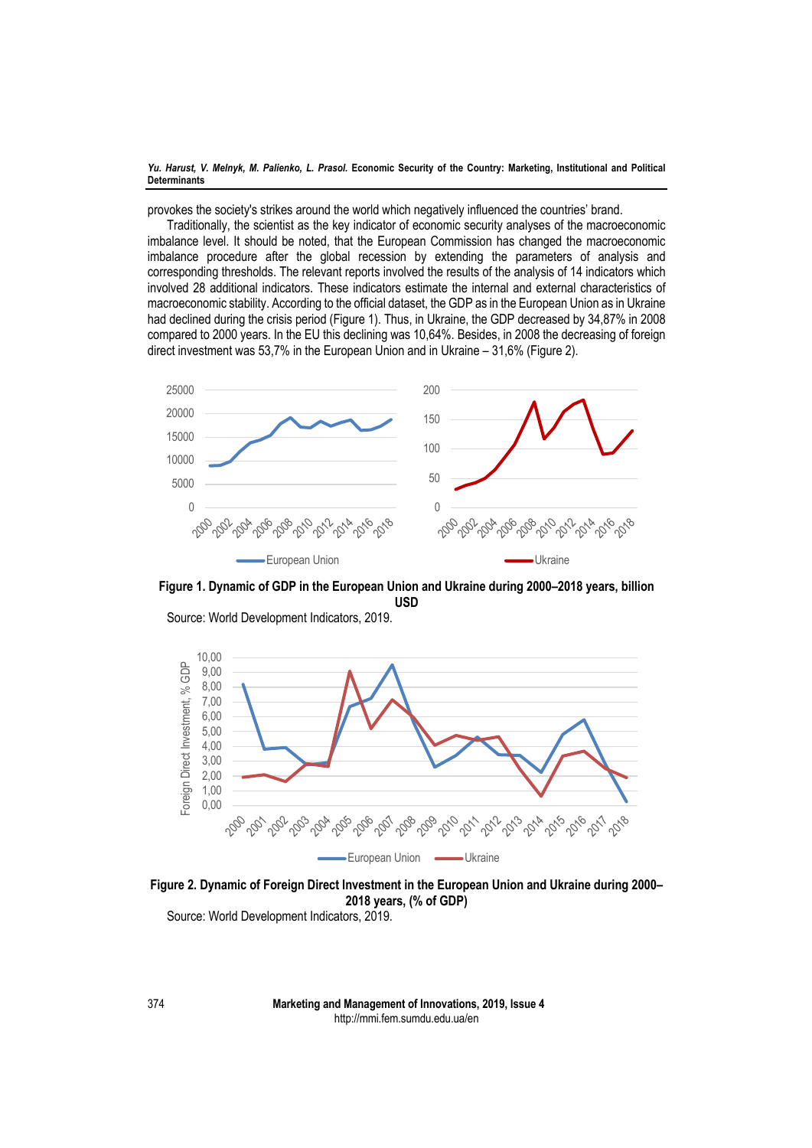provokes the society's strikes around the world which negatively influenced the countries' brand.

Traditionally, the scientist as the key indicator of economic security analyses of the macroeconomic imbalance level. It should be noted, that the European Commission has changed the macroeconomic imbalance procedure after the global recession by extending the parameters of analysis and corresponding thresholds. The relevant reports involved the results of the analysis of 14 indicators which involved 28 additional indicators. These indicators estimate the internal and external characteristics of macroeconomic stability. According to the official dataset, the GDP as in the European Union as in Ukraine had declined during the crisis period (Figure 1). Thus, in Ukraine, the GDP decreased by 34,87% in 2008 compared to 2000 years. In the EU this declining was 10,64%. Besides, in 2008 the decreasing of foreign direct investment was 53,7% in the European Union and in Ukraine – 31,6% (Figure 2).



**Figure 1. Dynamic of GDP in the European Union and Ukraine during 2000–2018 years, billion USD** 



Source: World Development Indicators, 2019.

**Figure 2. Dynamic of Foreign Direct Investment in the European Union and Ukraine during 2000– 2018 years, (% of GDP)**  Source: World Development Indicators, 2019.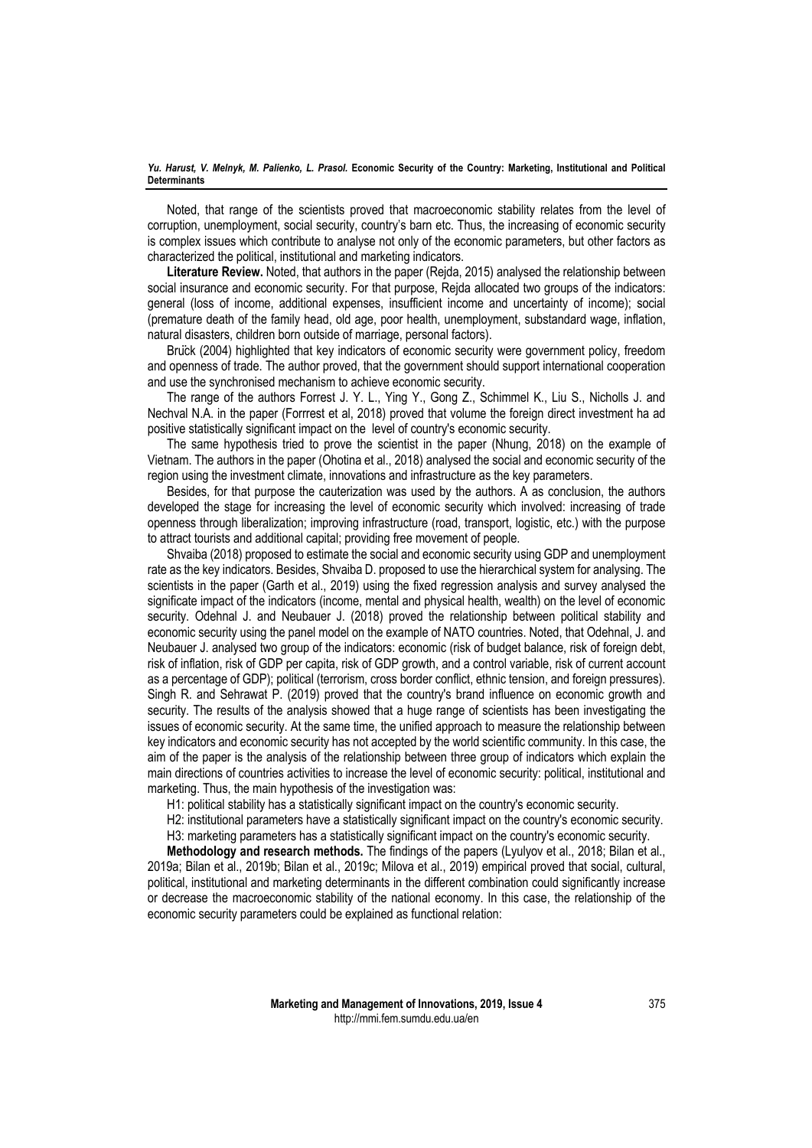Noted, that range of the scientists proved that macroeconomic stability relates from the level of corruption, unemployment, social security, country's barn etc. Thus, the increasing of economic security is complex issues which contribute to analyse not only of the economic parameters, but other factors as characterized the political, institutional and marketing indicators.

**Literature Review.** Noted, that authors in the paper (Rejda, 2015) analysed the relationship between social insurance and economic security. For that purpose, Rejda allocated two groups of the indicators: general (loss of income, additional expenses, insufficient income and uncertainty of income); social (premature death of the family head, old age, poor health, unemployment, substandard wage, inflation, natural disasters, children born outside of marriage, personal factors).

Brück (2004) highlighted that key indicators of economic security were government policy, freedom and openness of trade. The author proved, that the government should support international cooperation and use the synchronised mechanism to achieve economic security.

The range of the authors Forrest J. Y. L., Ying Y., Gong Z., Schimmel K., Liu S., Nicholls J. and Nechval N.A. in the paper (Forrrest et al, 2018) proved that volume the foreign direct investment ha ad positive statistically significant impact on the level of country's economic security.

The same hypothesis tried to prove the scientist in the paper (Nhung, 2018) on the example of Vietnam. The authors in the paper (Ohotina et al., 2018) analysed the social and economic security of the region using the investment climate, innovations and infrastructure as the key parameters.

Besides, for that purpose the cauterization was used by the authors. A as conclusion, the authors developed the stage for increasing the level of economic security which involved: increasing of trade openness through liberalization; improving infrastructure (road, transport, logistic, etc.) with the purpose to attract tourists and additional capital; providing free movement of people.

Shvaiba (2018) proposed to estimate the social and economic security using GDP and unemployment rate as the key indicators. Besides, Shvaiba D. proposed to use the hierarchical system for analysing. The scientists in the paper (Garth et al., 2019) using the fixed regression analysis and survey analysed the significate impact of the indicators (income, mental and physical health, wealth) on the level of economic security. Odehnal J. and Neubauer J. (2018) proved the relationship between political stability and economic security using the panel model on the example of NATO countries. Noted, that Odehnal, J. and Neubauer J. analysed two group of the indicators: economic (risk of budget balance, risk of foreign debt, risk of inflation, risk of GDP per capita, risk of GDP growth, and a control variable, risk of current account as a percentage of GDP); political (terrorism, cross border conflict, ethnic tension, and foreign pressures). Singh R. and Sehrawat P. (2019) proved that the country's brand influence on economic growth and security. The results of the analysis showed that a huge range of scientists has been investigating the issues of economic security. At the same time, the unified approach to measure the relationship between key indicators and economic security has not accepted by the world scientific community. In this case, the aim of the paper is the analysis of the relationship between three group of indicators which explain the main directions of countries activities to increase the level of economic security: political, institutional and marketing. Thus, the main hypothesis of the investigation was:

H1: political stability has a statistically significant impact on the country's economic security.

H2: institutional parameters have a statistically significant impact on the country's economic security.

H3: marketing parameters has a statistically significant impact on the country's economic security.

**Methodology and research methods.** The findings of the papers (Lyulyov et al., 2018; Bilan et al., 2019a; Bilan et al., 2019b; Bilan et al., 2019c; Milova et al., 2019) empirical proved that social, cultural, political, institutional and marketing determinants in the different combination could significantly increase or decrease the macroeconomic stability of the national economy. In this case, the relationship of the economic security parameters could be explained as functional relation: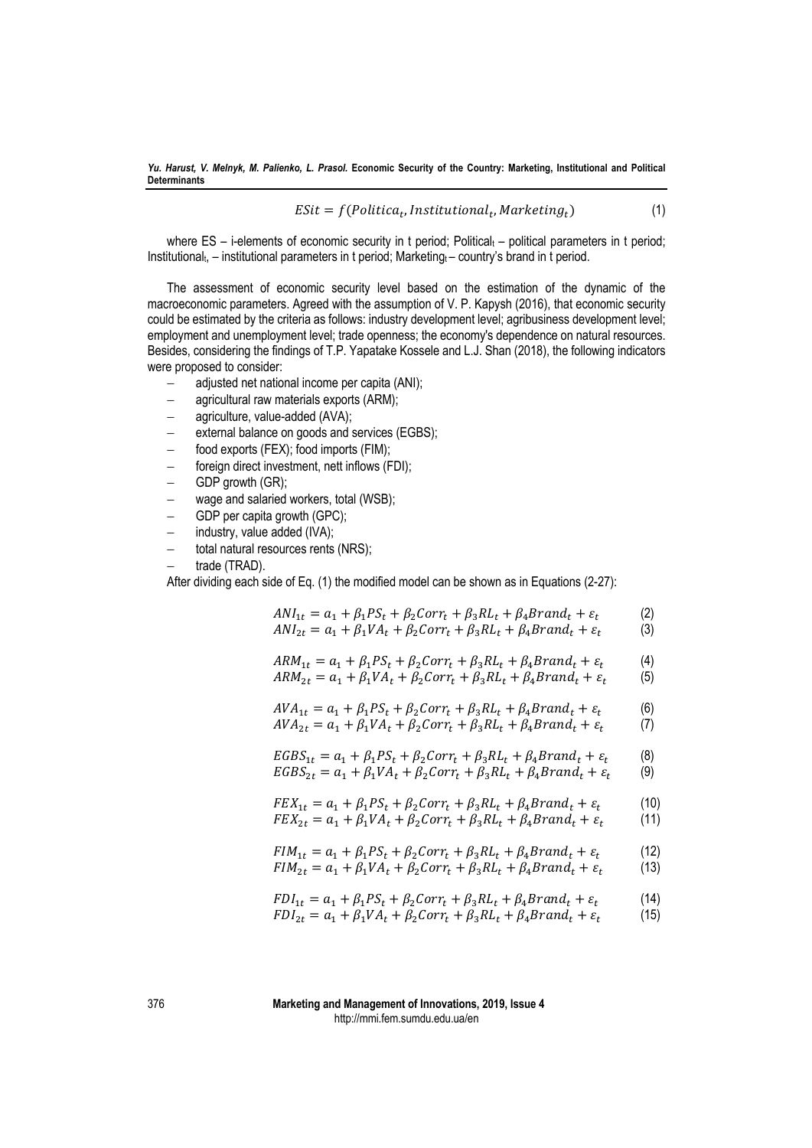$$
EStt = f(Politica_t, Institutional_t, Marketing_t)
$$
\n(1)

where  $ES - i$ -elements of economic security in t period; Political  $<sub>t</sub>$  – political parameters in t period;</sub> Institutional<sub>t</sub>, – institutional parameters in t period; Marketing $t$  – country's brand in t period.

The assessment of economic security level based on the estimation of the dynamic of the macroeconomic parameters. Agreed with the assumption of V. P. Kapysh (2016), that economic security could be estimated by the criteria as follows: industry development level; agribusiness development level; employment and unemployment level; trade openness; the economy's dependence on natural resources. Besides, considering the findings of T.P. Yapatake Kossele and L.J. Shan (2018), the following indicators were proposed to consider:

- adjusted net national income per capita (ANI);
- agricultural raw materials exports (ARM);
- $-$  agriculture, value-added (AVA);
- external balance on goods and services (EGBS);
- food exports (FEX); food imports (FIM);
- foreign direct investment, nett inflows (FDI);
- $-$  GDP growth (GR);
- wage and salaried workers, total (WSB);
- GDP per capita growth (GPC):
- industry, value added (IVA);
- total natural resources rents (NRS);
- trade (TRAD).

After dividing each side of Eq. (1) the modified model can be shown as in Equations (2-27):

$$
ANI_{1t} = a_1 + \beta_1 PS_t + \beta_2 Corr_t + \beta_3 RL_t + \beta_4 Brand_t + \varepsilon_t
$$
  
\n
$$
ANI_{2t} = a_1 + \beta_1 VA_t + \beta_2 Corr_t + \beta_3 RL_t + \beta_4 Brand_t + \varepsilon_t
$$
 (3)

$$
ARM_{1t} = a_1 + \beta_1 PS_t + \beta_2 Corr_t + \beta_3 RL_t + \beta_4 Brand_t + \varepsilon_t
$$
 (4)

$$
ARM_{2t} = a_1 + \beta_1 VA_t + \beta_2 Corr_t + \beta_3 RL_t + \beta_4 Brand_t + \varepsilon_t
$$
 (5)

$$
AVA_{1t} = a_1 + \beta_1 PS_t + \beta_2 Corr_t + \beta_3 RL_t + \beta_4 Brand_t + \varepsilon_t
$$
  
\n
$$
AVA_{2t} = a_1 + \beta_1 VA_t + \beta_2 Corr_t + \beta_3 RL_t + \beta_4 Brand_t + \varepsilon_t
$$
 (7)

$$
EGBS_{1t} = a_1 + \beta_1 PS_t + \beta_2 Corr_t + \beta_3 RL_t + \beta_4 Brand_t + \varepsilon_t
$$
 (8)

$$
EGBS_{2t} = a_1 + \beta_1 VA_t + \beta_2 Corr_t + \beta_3 RL_t + \beta_4 Brand_t + \varepsilon_t
$$
 (9)

$$
FEX_{1t} = a_1 + \beta_1 PS_t + \beta_2 Corr_t + \beta_3 RL_t + \beta_4 Brand_t + \varepsilon_t
$$
  
\n
$$
FEX_{2t} = a_1 + \beta_1 VA_t + \beta_2 Corr_t + \beta_3 RL_t + \beta_4 Brand_t + \varepsilon_t
$$
\n(11)

$$
FIM_{1t} = a_1 + \beta_1 PS_t + \beta_2 Corr_t + \beta_3 RL_t + \beta_4 Brand_t + \varepsilon_t
$$
 (12)

$$
FIM_{2t} = a_1 + \beta_1 VA_t + \beta_2 Corr_t + \beta_3 R L_t + \beta_4 Brand_t + \varepsilon_t
$$
 (13)

$$
FDI_{1t} = a_1 + \beta_1 PS_t + \beta_2 Corr_t + \beta_3 RL_t + \beta_4 Brand_t + \varepsilon_t \tag{14}
$$

$$
FDI_{2t} = a_1 + \beta_1 VA_t + \beta_2 Corr_t + \beta_3 RL_t + \beta_4 Brand_t + \varepsilon_t
$$
 (15)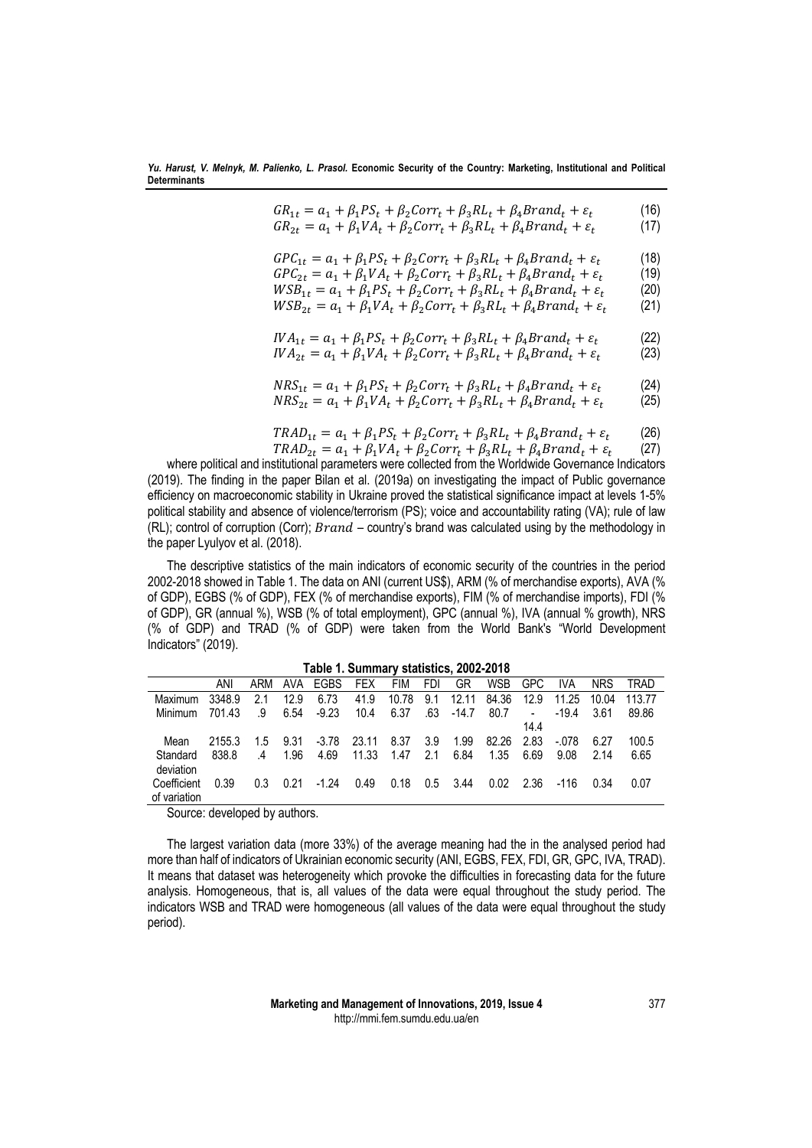$$
GR_{1t} = a_1 + \beta_1 PS_t + \beta_2 Corr_t + \beta_3 RL_t + \beta_4 Brand_t + \varepsilon_t
$$
 (16)

$$
GR_{2t} = a_1 + \beta_1 VA_t + \beta_2 Corr_t + \beta_3 RL_t + \beta_4 Brand_t + \varepsilon_t \tag{17}
$$

$$
GPC_{1t} = a_1 + \beta_1 PS_t + \beta_2 Corr_t + \beta_3 RL_t + \beta_4 Brand_t + \varepsilon_t
$$
 (18)

$$
GPC_{2t} = a_1 + \beta_1 VA_t + \beta_2 Corr_t + \beta_3 RL_t + \beta_4 Brand_t + \varepsilon_t \tag{19}
$$

$$
WSB_{1t} = a_1 + \beta_1 PS_t + \beta_2 Corr_t + \beta_3 RI_t + \beta_4 Brand_t + \varepsilon_t
$$
 (20)  
\n
$$
WSB_{1t} = a_1 + \beta_1 VA + \beta_2 Corr_t + \beta_3 RI_t + \beta_3 Brand_t + \varepsilon_t
$$
 (21)

$$
WSB_{2t} = a_1 + \beta_1 VA_t + \beta_2 Corr_t + \beta_3 RL_t + \beta_4 Brand_t + \varepsilon_t
$$
 (21)

$$
IVA_{1t} = a_1 + \beta_1 PS_t + \beta_2 Corr_t + \beta_3 R L_t + \beta_4 Brand_t + \varepsilon_t
$$
 (22)

$$
IVA_{2t} = a_1 + \beta_1 VA_t + \beta_2 Corr_t + \beta_3 RL_t + \beta_4 Brand_t + \varepsilon_t
$$
 (23)

$$
NRS_{1t} = a_1 + \beta_1 PS_t + \beta_2 Corr_t + \beta_3 RL_t + \beta_4 Brand_t + \varepsilon_t
$$
\n(24)

$$
NRS_{2t} = a_1 + \beta_1 VA_t + \beta_2 Corr_t + \beta_3 R L_t + \beta_4 Brand_t + \varepsilon_t
$$
 (25)

$$
TRAD_{1t} = a_1 + \beta_1 PS_t + \beta_2 Corr_t + \beta_3 RL_t + \beta_4 Brand_t + \varepsilon_t \tag{26}
$$

 $TRAD_{2t} = a_1 + \beta_1 VA_t + \beta_2 Corr_t + \beta_3 RL_t + \beta_4 Brand_t + \varepsilon_t$  (27) where political and institutional parameters were collected from the Worldwide Governance Indicators (2019). The finding in the paper Bilan et al. (2019a) on investigating the impact of Public governance efficiency on macroeconomic stability in Ukraine proved the statistical significance impact at levels 1-5% political stability and absence of violence/terrorism (PS); voice and accountability rating (VA); rule of law (RL); control of corruption (Corr);  $Brand - country's$  brand was calculated using by the methodology in the paper Lyulyov et al. (2018).

The descriptive statistics of the main indicators of economic security of the countries in the period 2002-2018 showed in Table 1. The data on ANI (current US\$), ARM (% of merchandise exports), AVA (% of GDP), EGBS (% of GDP), FEX (% of merchandise exports), FIM (% of merchandise imports), FDI (% of GDP), GR (annual %), WSB (% of total employment), GPC (annual %), IVA (annual % growth), NRS (% of GDP) and TRAD (% of GDP) were taken from the World Bank's "World Development Indicators" (2019).

|              | Table 1. Summary statistics, 2002-2018 |                |      |             |            |       |     |         |            |                          |         |            |        |
|--------------|----------------------------------------|----------------|------|-------------|------------|-------|-----|---------|------------|--------------------------|---------|------------|--------|
|              | ANI                                    | ARM            | AVA  | <b>EGBS</b> | <b>FEX</b> | FIM   | FDI | GR      | <b>WSB</b> | <b>GPC</b>               | IVA     | <b>NRS</b> | TRAD   |
| Maximum      | 3348.9                                 | 2.1            | 12.9 | 6.73        | 41.9       | 10.78 | 9.1 | 12.11   | 84.36      | 12.9                     | 11.25   | 10.04      | 113.77 |
| Minimum      | 701.43                                 | .9             | 6.54 | $-9.23$     | 10.4       | 6.37  | .63 | $-14.7$ | 80.7       | $\overline{\phantom{a}}$ | $-19.4$ | 3.61       | 89.86  |
|              |                                        |                |      |             |            |       |     |         |            | 14.4                     |         |            |        |
| Mean         | 2155.3                                 | 1.5            | 9.31 | $-3.78$     | 23.11      | 8.37  | 3.9 | 1.99    | 82.26      | 2.83                     | $-.078$ | 6.27       | 100.5  |
| Standard     | 838.8                                  | $\overline{A}$ | 1.96 | 4.69        | 11.33      | 1.47  | 2.1 | 6.84    | 1.35       | 6.69                     | 9.08    | 2.14       | 6.65   |
| deviation    |                                        |                |      |             |            |       |     |         |            |                          |         |            |        |
| Coefficient  | 0.39                                   | 0.3            | 0.21 | $-1.24$     | 0.49       | 0.18  | 0.5 | 3.44    | 0.02       | 2.36                     | -116    | 0.34       | 0.07   |
| of variation |                                        |                |      |             |            |       |     |         |            |                          |         |            |        |

Source: developed by authors.

The largest variation data (more 33%) of the average meaning had the in the analysed period had more than half of indicators of Ukrainian economic security (ANI, EGBS, FEX, FDI, GR, GPC, IVA, TRAD). It means that dataset was heterogeneity which provoke the difficulties in forecasting data for the future analysis. Homogeneous, that is, all values of the data were equal throughout the study period. The indicators WSB and TRAD were homogeneous (all values of the data were equal throughout the study period).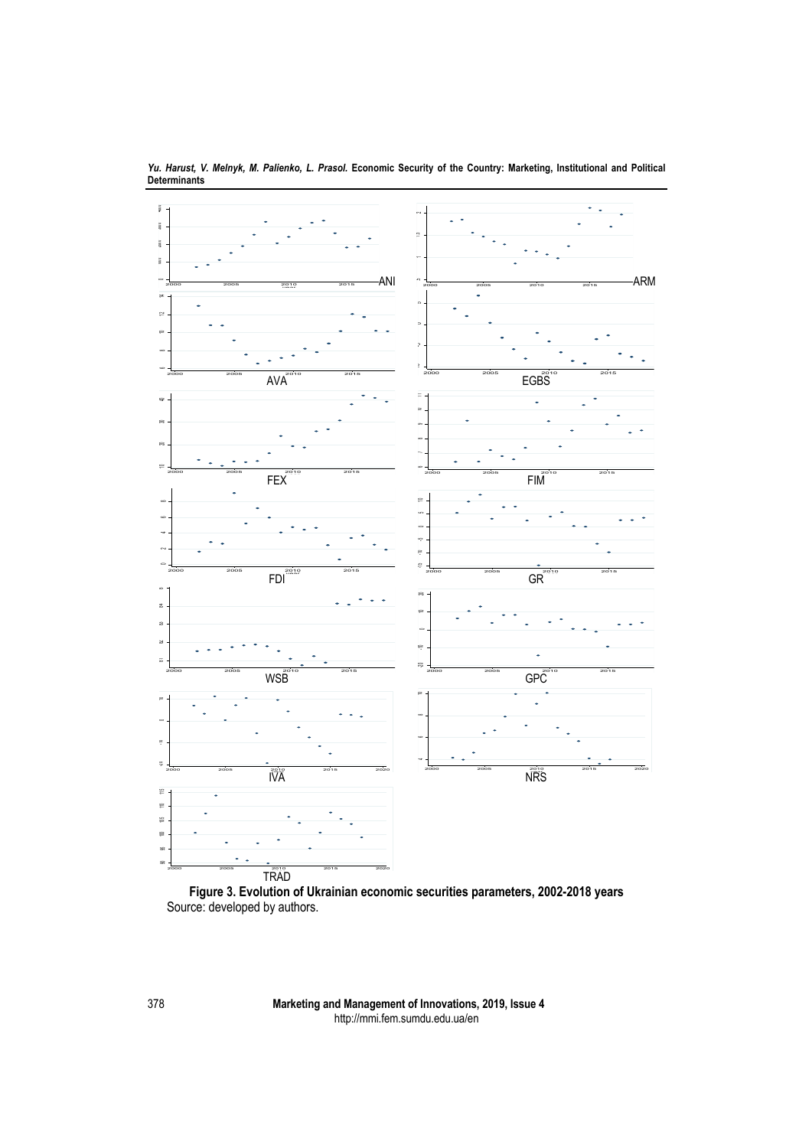

*Yu. Harust, V. Melnyk, M. Palienko, L. Prasol.* **Economic Security of the Country: Marketing, Institutional and Political Determinants**

**Figure 3. Evolution of Ukrainian economic securities parameters, 2002-2018 years** Source: developed by authors.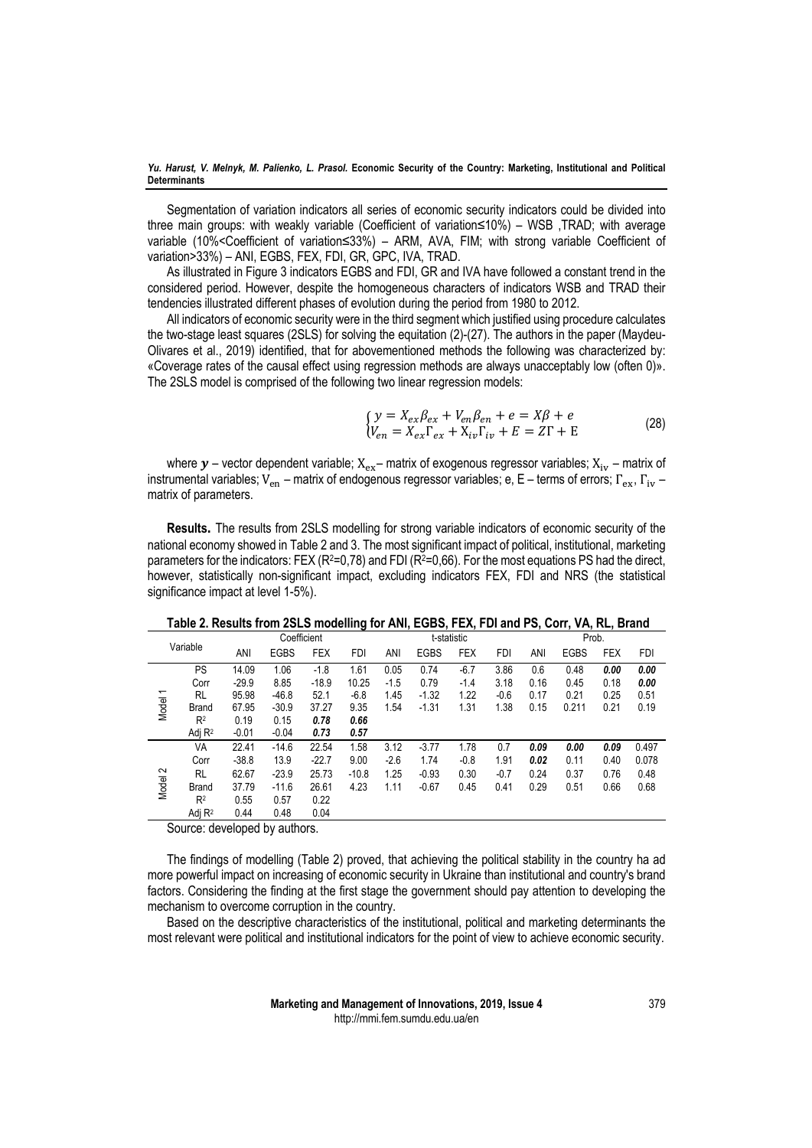Segmentation of variation indicators all series of economic security indicators could be divided into three main groups: with weakly variable (Coefficient of variation≤10%) – WSB ,TRAD; with average variable (10%<Coefficient of variation≤33%) – ARM, AVA, FIM; with strong variable Coefficient of variation>33%) – ANI, EGBS, FEX, FDI, GR, GPC, IVA, TRAD.

As illustrated in Figure 3 indicators EGBS and FDI, GR and IVA have followed a constant trend in the considered period. However, despite the homogeneous characters of indicators WSB and TRAD their tendencies illustrated different phases of evolution during the period from 1980 to 2012.

All indicators of economic security were in the third segment which justified using procedure calculates the two-stage least squares (2SLS) for solving the equitation (2)-(27). The authors in the paper (Maydeu-Olivares et al., 2019) identified, that for abovementioned methods the following was characterized by: «Coverage rates of the causal effect using regression methods are always unacceptably low (often 0)». The 2SLS model is comprised of the following two linear regression models:

$$
\begin{cases}\ny = X_{ex}\beta_{ex} + V_{en}\beta_{en} + e = X\beta + e \\
V_{en} = X_{ex}\Gamma_{ex} + X_{iv}\Gamma_{iv} + E = Z\Gamma + E\n\end{cases}
$$
\n(28)

where  $y$  – vector dependent variable;  $X_{ex}$ – matrix of exogenous regressor variables;  $X_{iv}$  – matrix of instrumental variables; V<sub>en</sub> – matrix of endogenous regressor variables; e, E – terms of errors;  $\Gamma_{\rm ex}$ ,  $\Gamma_{\rm iv}$  – matrix of parameters.

**Results.** The results from 2SLS modelling for strong variable indicators of economic security of the national economy showed in Table 2 and 3. The most significant impact of political, institutional, marketing parameters for the indicators: FEX ( $R^2=0.78$ ) and FDI ( $R^2=0.66$ ). For the most equations PS had the direct, however, statistically non-significant impact, excluding indicators FEX, FDI and NRS (the statistical significance impact at level 1-5%).

|          |                   | Coefficient |             |            |            |        | t-statistic |            |            |      | Prob.       |            |            |  |
|----------|-------------------|-------------|-------------|------------|------------|--------|-------------|------------|------------|------|-------------|------------|------------|--|
| Variable |                   | ANI         | <b>EGBS</b> | <b>FEX</b> | <b>FDI</b> | ANI    | <b>EGBS</b> | <b>FEX</b> | <b>FDI</b> | ANI  | <b>EGBS</b> | <b>FEX</b> | <b>FDI</b> |  |
|          | PS                | 14.09       | 1.06        | $-1.8$     | 1.61       | 0.05   | 0.74        | $-6.7$     | 3.86       | 0.6  | 0.48        | 0.00       | 0.00       |  |
|          | Corr              | $-29.9$     | 8.85        | $-18.9$    | 10.25      | $-1.5$ | 0.79        | $-1.4$     | 3.18       | 0.16 | 0.45        | 0.18       | 0.00       |  |
|          | <b>RL</b>         | 95.98       | $-46.8$     | 52.1       | $-6.8$     | 1.45   | $-1.32$     | 1.22       | $-0.6$     | 0.17 | 0.21        | 0.25       | 0.51       |  |
| Model 1  | <b>Brand</b>      | 67.95       | $-30.9$     | 37.27      | 9.35       | 1.54   | $-1.31$     | 1.31       | 1.38       | 0.15 | 0.211       | 0.21       | 0.19       |  |
|          | R <sup>2</sup>    | 0.19        | 0.15        | 0.78       | 0.66       |        |             |            |            |      |             |            |            |  |
|          | Adj $R^2$         | $-0.01$     | $-0.04$     | 0.73       | 0.57       |        |             |            |            |      |             |            |            |  |
|          | VA                | 22.41       | $-14.6$     | 22.54      | 1.58       | 3.12   | $-3.77$     | 1.78       | 0.7        | 0.09 | 0.00        | 0.09       | 0.497      |  |
|          | Corr              | $-38.8$     | 13.9        | $-22.7$    | 9.00       | $-2.6$ | 1.74        | $-0.8$     | 1.91       | 0.02 | 0.11        | 0.40       | 0.078      |  |
| Model 2  | <b>RL</b>         | 62.67       | $-23.9$     | 25.73      | $-10.8$    | 1.25   | $-0.93$     | 0.30       | $-0.7$     | 0.24 | 0.37        | 0.76       | 0.48       |  |
|          | <b>Brand</b>      | 37.79       | $-11.6$     | 26.61      | 4.23       | 1.11   | $-0.67$     | 0.45       | 0.41       | 0.29 | 0.51        | 0.66       | 0.68       |  |
|          | R <sup>2</sup>    | 0.55        | 0.57        | 0.22       |            |        |             |            |            |      |             |            |            |  |
|          | Adi <sub>R2</sub> | 0.44        | 0.48        | 0.04       |            |        |             |            |            |      |             |            |            |  |

**Table 2. Results from 2SLS modelling for ANI, EGBS, FEX, FDI and PS, Corr, VA, RL, Brand**

Source: developed by authors.

The findings of modelling (Table 2) proved, that achieving the political stability in the country ha ad more powerful impact on increasing of economic security in Ukraine than institutional and country's brand factors. Considering the finding at the first stage the government should pay attention to developing the mechanism to overcome corruption in the country.

Based on the descriptive characteristics of the institutional, political and marketing determinants the most relevant were political and institutional indicators for the point of view to achieve economic security.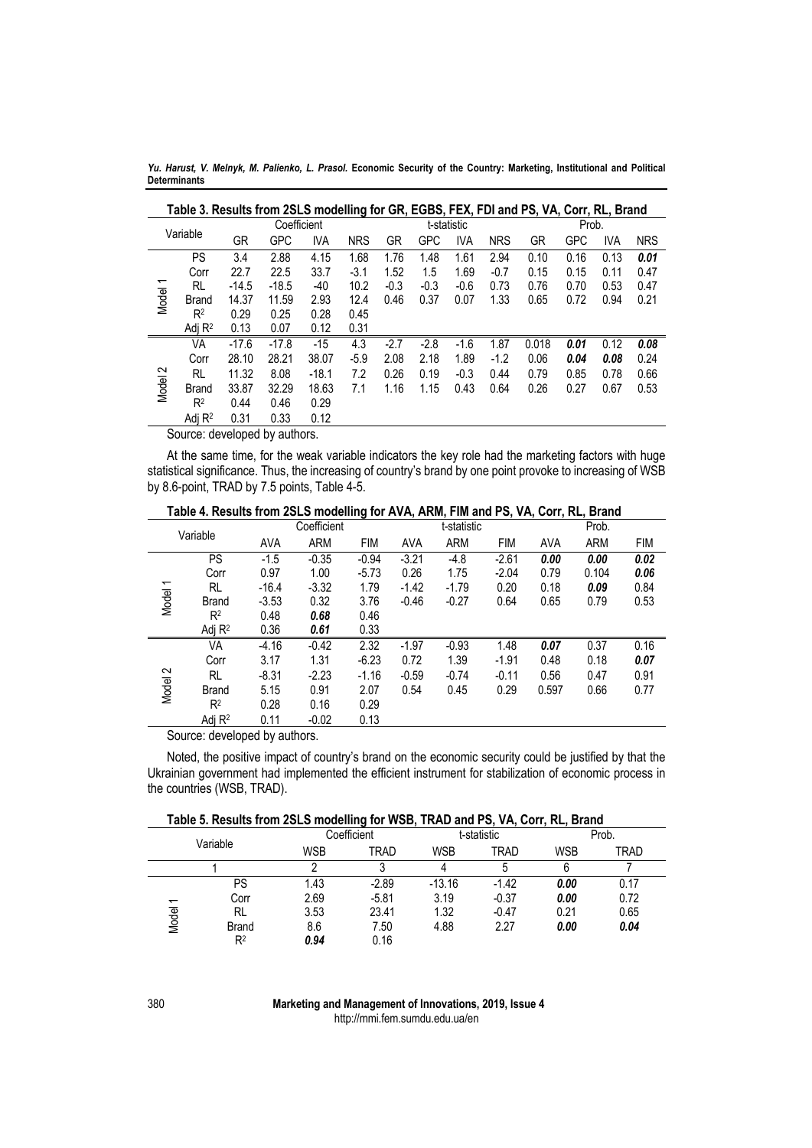*Yu. Harust, V. Melnyk, M. Palienko, L. Prasol.* **Economic Security of the Country: Marketing, Institutional and Political Determinants**

|              | GR       | GPC     | <b>IVA</b> | <b>NRS</b>  | GR     | GPC    | <b>IVA</b> | <b>NRS</b>  | GR    | <b>GPC</b> | <b>IVA</b> | <b>NRS</b>                                                                                       |
|--------------|----------|---------|------------|-------------|--------|--------|------------|-------------|-------|------------|------------|--------------------------------------------------------------------------------------------------|
| PS           | 3.4      | 2.88    | 4.15       | 1.68        | 1.76   | 1.48   | 1.61       | 2.94        | 0.10  | 0.16       | 0.13       | 0.01                                                                                             |
| Corr         | 22.7     | 22.5    | 33.7       | $-3.1$      | 1.52   | 1.5    | 1.69       | $-0.7$      | 0.15  | 0.15       | 0.11       | 0.47                                                                                             |
| RL           | $-14.5$  | $-18.5$ | -40        | 10.2        | $-0.3$ | $-0.3$ | $-0.6$     | 0.73        | 0.76  | 0.70       | 0.53       | 0.47                                                                                             |
| <b>Brand</b> | 14.37    | 11.59   | 2.93       | 12.4        | 0.46   | 0.37   | 0.07       | 1.33        | 0.65  | 0.72       | 0.94       | 0.21                                                                                             |
| $R^2$        | 0.29     | 0.25    | 0.28       | 0.45        |        |        |            |             |       |            |            |                                                                                                  |
| Adj $R^2$    | 0.13     | 0.07    | 0.12       | 0.31        |        |        |            |             |       |            |            |                                                                                                  |
| VA           | $-17.6$  | $-17.8$ | $-15$      | 4.3         | $-2.7$ | $-2.8$ | $-1.6$     | 1.87        | 0.018 | 0.01       | 0.12       | 0.08                                                                                             |
| Corr         | 28.10    | 28.21   | 38.07      | $-5.9$      | 2.08   | 2.18   | 1.89       | $-1.2$      | 0.06  | 0.04       | 0.08       | 0.24                                                                                             |
| RL           | 11.32    | 8.08    | $-18.1$    | 7.2         | 0.26   | 0.19   | $-0.3$     | 0.44        | 0.79  | 0.85       | 0.78       | 0.66                                                                                             |
| <b>Brand</b> | 33.87    | 32.29   | 18.63      | 7.1         | 1.16   | 1.15   | 0.43       | 0.64        | 0.26  | 0.27       | 0.67       | 0.53                                                                                             |
| $R^2$        | 0.44     | 0.46    | 0.29       |             |        |        |            |             |       |            |            |                                                                                                  |
| Adj $R^2$    | 0.31     | 0.33    | 0.12       |             |        |        |            |             |       |            |            |                                                                                                  |
|              | Variable |         |            | Coefficient |        |        |            | t-statistic |       |            |            | Table 3. Results from 2SLS modelling for GR, EGBS, FEX, FDI and PS, VA, Corr, RL, Brand<br>Prob. |

Source: developed by authors.

At the same time, for the weak variable indicators the key role had the marketing factors with huge statistical significance. Thus, the increasing of country's brand by one point provoke to increasing of WSB by 8.6-point, TRAD by 7.5 points, Table 4-5.

|          | Table 4. Results from 2SLS modelling for AVA, ARM, FIM and PS, VA, Corr, RL, Brand |            |             |            |            |             |            |            |            |            |  |
|----------|------------------------------------------------------------------------------------|------------|-------------|------------|------------|-------------|------------|------------|------------|------------|--|
|          |                                                                                    |            | Coefficient |            |            | t-statistic |            |            | Prob.      |            |  |
| Variable |                                                                                    | <b>AVA</b> | <b>ARM</b>  | <b>FIM</b> | <b>AVA</b> | <b>ARM</b>  | <b>FIM</b> | <b>AVA</b> | <b>ARM</b> | <b>FIM</b> |  |
|          | PS                                                                                 | $-1.5$     | $-0.35$     | $-0.94$    | $-3.21$    | $-4.8$      | $-2.61$    | 0.00       | 0.00       | 0.02       |  |
|          | Corr                                                                               | 0.97       | 1.00        | $-5.73$    | 0.26       | 1.75        | $-2.04$    | 0.79       | 0.104      | 0.06       |  |
|          | RL                                                                                 | $-16.4$    | $-3.32$     | 1.79       | $-1.42$    | $-1.79$     | 0.20       | 0.18       | 0.09       | 0.84       |  |
| Model 1  | <b>Brand</b>                                                                       | $-3.53$    | 0.32        | 3.76       | $-0.46$    | $-0.27$     | 0.64       | 0.65       | 0.79       | 0.53       |  |
|          | R <sup>2</sup>                                                                     | 0.48       | 0.68        | 0.46       |            |             |            |            |            |            |  |
|          | Adj $R^2$                                                                          | 0.36       | 0.61        | 0.33       |            |             |            |            |            |            |  |
|          | VA                                                                                 | $-4.16$    | $-0.42$     | 2.32       | $-1.97$    | $-0.93$     | 1.48       | 0.07       | 0.37       | 0.16       |  |
|          | Corr                                                                               | 3.17       | 1.31        | $-6.23$    | 0.72       | 1.39        | $-1.91$    | 0.48       | 0.18       | 0.07       |  |
|          | RL                                                                                 | $-8.31$    | $-2.23$     | $-1.16$    | $-0.59$    | $-0.74$     | $-0.11$    | 0.56       | 0.47       | 0.91       |  |
| Model 2  | <b>Brand</b>                                                                       | 5.15       | 0.91        | 2.07       | 0.54       | 0.45        | 0.29       | 0.597      | 0.66       | 0.77       |  |
|          | $R^2$                                                                              | 0.28       | 0.16        | 0.29       |            |             |            |            |            |            |  |
|          | Adj $R^2$                                                                          | 0.11       | $-0.02$     | 0.13       |            |             |            |            |            |            |  |

Source: developed by authors.

Noted, the positive impact of country's brand on the economic security could be justified by that the Ukrainian government had implemented the efficient instrument for stabilization of economic process in the countries (WSB, TRAD).

|  | Table 5. Results from 2SLS modelling for WSB, TRAD and PS, VA, Corr, RL, Brand |  |  |  |
|--|--------------------------------------------------------------------------------|--|--|--|
|--|--------------------------------------------------------------------------------|--|--|--|

| Table 3. Results from 25L5 modelling for W5D, TRAD and P5, VA, Corr, RL, Brand |                |      |             |            |             |      |       |  |  |  |
|--------------------------------------------------------------------------------|----------------|------|-------------|------------|-------------|------|-------|--|--|--|
|                                                                                |                |      | Coefficient |            | t-statistic |      | Prob. |  |  |  |
| Variable                                                                       |                | WSB  | TRAD        | <b>WSB</b> | TRAD        | WSB  | TRAD  |  |  |  |
|                                                                                |                |      |             | 4          |             | 6    |       |  |  |  |
|                                                                                | PS             | 1.43 | $-2.89$     | $-13.16$   | $-1.42$     | 0.00 | 0.17  |  |  |  |
| $\overline{\phantom{0}}$                                                       | Corr           | 2.69 | $-5.81$     | 3.19       | $-0.37$     | 0.00 | 0.72  |  |  |  |
|                                                                                | <b>RL</b>      | 3.53 | 23.41       | 1.32       | $-0.47$     | 0.21 | 0.65  |  |  |  |
| Model                                                                          | <b>Brand</b>   | 8.6  | 7.50        | 4.88       | 2.27        | 0.00 | 0.04  |  |  |  |
|                                                                                | R <sup>2</sup> | 0.94 | 0.16        |            |             |      |       |  |  |  |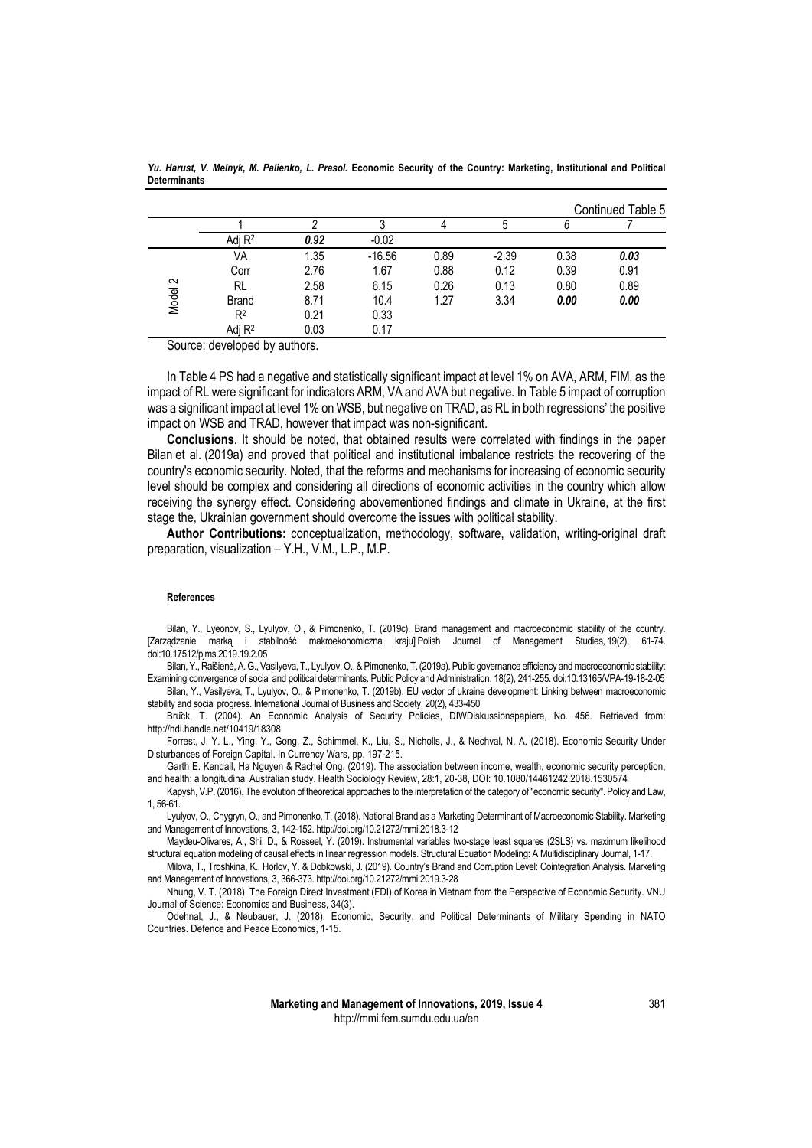|         |                |      |          |      |         |      | Continued Table 5 |
|---------|----------------|------|----------|------|---------|------|-------------------|
|         |                |      |          |      |         |      |                   |
|         | Adj $R^2$      | 0.92 | $-0.02$  |      |         |      |                   |
|         | VA             | 1.35 | $-16.56$ | 0.89 | $-2.39$ | 0.38 | 0.03              |
|         | Corr           | 2.76 | 1.67     | 0.88 | 0.12    | 0.39 | 0.91              |
| Model 2 | <b>RL</b>      | 2.58 | 6.15     | 0.26 | 0.13    | 0.80 | 0.89              |
|         | <b>Brand</b>   | 8.71 | 10.4     | 1.27 | 3.34    | 0.00 | 0.00              |
|         | R <sup>2</sup> | 0.21 | 0.33     |      |         |      |                   |
|         | Adj $R^2$      | 0.03 | 0.17     |      |         |      |                   |

*Yu. Harust, V. Melnyk, M. Palienko, L. Prasol.* **Economic Security of the Country: Marketing, Institutional and Political Determinants**

Source: developed by authors.

In Table 4 PS had a negative and statistically significant impact at level 1% on AVA, ARM, FIM, as the impact of RL were significant for indicators ARM, VA and AVA but negative. In Table 5 impact of corruption was a significant impact at level 1% on WSB, but negative on TRAD, as RL in both regressions' the positive impact on WSB and TRAD, however that impact was non-significant.

**Conclusions**. It should be noted, that obtained results were correlated with findings in the paper Bilan et al. (2019a) and proved that political and institutional imbalance restricts the recovering of the country's economic security. Noted, that the reforms and mechanisms for increasing of economic security level should be complex and considering all directions of economic activities in the country which allow receiving the synergy effect. Considering abovementioned findings and climate in Ukraine, at the first stage the, Ukrainian government should overcome the issues with political stability.

**Author Contributions:** conceptualization, methodology, software, validation, writing-original draft preparation, visualization – Y.H., V.M., L.P., M.P.

## **References**

Bilan, Y., Lyeonov, S., Lyulyov, O., & Pimonenko, T. (2019c). Brand management and macroeconomic stability of the country. [Zarządzanie marką i stabilność makroekonomiczna kraju] Polish Journal of Management Studies, 19(2), 61-74. doi:10.17512/pjms.2019.19.2.05

Bilan, Y., Raišienė, A. G., Vasilyeva, T., Lyulyov, O., & Pimonenko, T. (2019a). Public governance efficiency and macroeconomic stability: Examining convergence of social and political determinants. Public Policy and Administration, 18(2), 241-255. doi:10.13165/VPA-19-18-2-05

Bilan, Y., Vasilyeva, T., Lyulyov, O., & Pimonenko, T. (2019b). EU vector of ukraine development: Linking between macroeconomic stability and social progress. International Journal of Business and Society, 20(2), 433-450

Brück, T. (2004). An Economic Analysis of Security Policies, DIWDiskussionspapiere, No. 456. Retrieved from: http://hdl.handle.net/10419/18308

Forrest, J. Y. L., Ying, Y., Gong, Z., Schimmel, K., Liu, S., Nicholls, J., & Nechval, N. A. (2018). Economic Security Under Disturbances of Foreign Capital. In Currency Wars, pp. 197-215.

Garth E. Kendall, Ha Nguyen & Rachel Ong. (2019). The association between income, wealth, economic security perception, and health: a longitudinal Australian study. Health Sociology Review, 28:1, 20-38, DOI: 10.1080/14461242.2018.1530574

Kapysh, V.P. (2016). The evolution of theoretical approaches to the interpretation of the category of "economic security". Policy and Law, 1, 56-61.

Lyulyov, O., Chygryn, O., and Pimonenko, T. (2018). National Brand as a Marketing Determinant of Macroeconomic Stability. Marketing and Management of Innovations, 3, 142-152. http://doi.org/10.21272/mmi.2018.3-12

Maydeu-Olivares, A., Shi, D., & Rosseel, Y. (2019). Instrumental variables two-stage least squares (2SLS) vs. maximum likelihood structural equation modeling of causal effects in linear regression models. Structural Equation Modeling: A Multidisciplinary Journal, 1-17.

Milova, T., Troshkina, K., Horlov, Y. & Dobkowski, J. (2019). Country's Brand and Corruption Level: Cointegration Analysis. Marketing and Management of Innovations, 3, 366-373. http://doi.org/10.21272/mmi.2019.3-28

Nhung, V. T. (2018). The Foreign Direct Investment (FDI) of Korea in Vietnam from the Perspective of Economic Security. VNU Journal of Science: Economics and Business, 34(3).

Odehnal, J., & Neubauer, J. (2018). Economic, Security, and Political Determinants of Military Spending in NATO Countries. Defence and Peace Economics, 1-15.